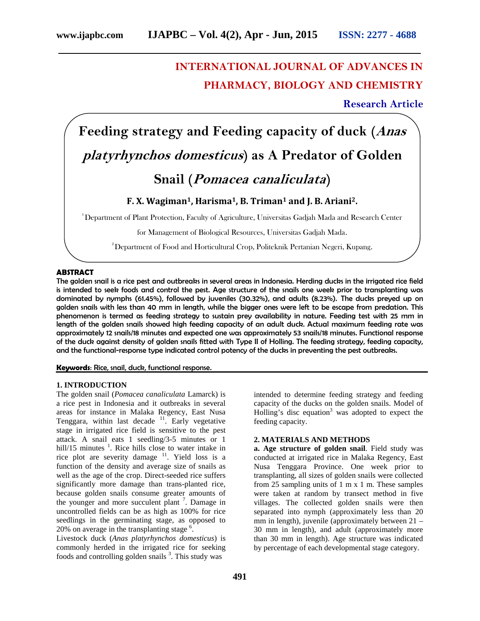## **INTERNATIONAL JOURNAL OF ADVANCES IN PHARMACY, BIOLOGY AND CHEMISTRY**

**Research Article**

**Feeding strategy and Feeding capacity of duck (***Anas platyrhynchos domesticus***) as A Predator of Golden**

# **Snail (***Pomacea canaliculata***)**

### **F. X. Wagiman1, Harisma1, B. Triman<sup>1</sup> and J. B. Ariani2.**

<sup>1</sup>Department of Plant Protection, Faculty of Agriculture, Universitas Gadjah Mada and Research Center

for Management of Biological Resources, Universitas Gadjah Mada.

 $^{\rm 2}$ Department of Food and Horticultural Crop, Politeknik Pertanian Negeri, Kupang.

#### **ABSTRACT**

The golden snail is a rice pest and outbreaks in several areas in Indonesia. Herding ducks in the irrigated rice field is intended to seek foods and control the pest. Age structure of the snails one week prior to transplanting was dominated by nymphs (61.45%), followed by juveniles (30.32%), and adults (8.23%). The ducks preyed up on golden snails with less than 40 mm in length, while the bigger ones were left to be escape from predation. This phenomenon is termed as feeding strategy to sustain prey availability in nature. Feeding test with 25 mm in length of the golden snails showed high feeding capacity of an adult duck. Actual maximum feeding rate was approximately 12 snails/18 minutes and expected one was approximately 53 snails/18 minutes. Functional response of the duck against density of golden snails fitted with Type II of Holling. The feeding strategy, feeding capacity, and the functional-response type indicated control potency of the ducks in preventing the pest outbreaks.

#### **Keywords**: Rice, snail, duck, functional response.

#### **1. INTRODUCTION**

The golden snail (*Pomacea canaliculata* Lamarck) is a rice pest in Indonesia and it outbreaks in several areas for instance in Malaka Regency, East Nusa Tenggara, within last decade  $\frac{11}{1}$ . Early vegetative stage in irrigated rice field is sensitive to the pest attack. A snail eats 1 seedling/3-5 minutes or 1 hill/15 minutes  $\frac{1}{1}$ . Rice hills close to water intake in rice plot are severity damage  $11$ . Yield loss is a function of the density and average size of snails as well as the age of the crop. Direct-seeded rice suffers significantly more damage than trans-planted rice, because golden snails consume greater amounts of the younger and more succulent plant  $\frac{7}{1}$ . Damage in uncontrolled fields can be as high as 100% for rice seedlings in the germinating stage, as opposed to 20% on average in the transplanting stage  $6$ . .

Livestock duck (*Anas platyrhynchos domesticus*) is commonly herded in the irrigated rice for seeking foods and controlling golden snails <sup>3</sup>. This study was intended to determine feeding strategy and feeding capacity of the ducks on the golden snails. Model of Holling's disc equation<sup>3</sup> was adopted to expect the feeding capacity.

#### **2. MATERIALS AND METHODS**

**a. Age structure of golden snail**. Field study was conducted at irrigated rice in Malaka Regency, East Nusa Tenggara Province. One week prior to transplanting, all sizes of golden snails were collected from 25 sampling units of 1 m x 1 m. These samples were taken at random by transect method in five villages. The collected golden snails were then separated into nymph (approximately less than 20 mm in length), juvenile (approximately between 21 – 30 mm in length), and adult (approximately more than 30 mm in length). Age structure was indicated by percentage of each developmental stage category.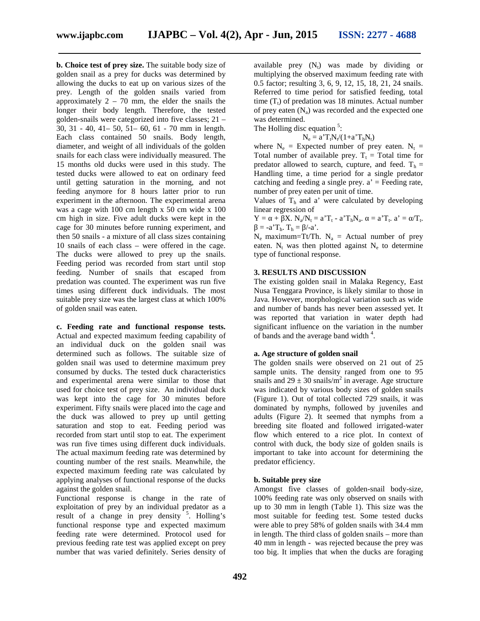**b. Choice test of prey size.** The suitable body size of golden snail as a prey for ducks was determined by allowing the ducks to eat up on various sizes of the prey. Length of the golden snails varied from approximately  $2 - 70$  mm, the elder the snails the longer their body length. Therefore, the tested golden-snails were categorized into five classes; 21 – 30, 31 - 40, 41– 50, 51– 60, 61 - 70 mm in length. Each class contained 50 snails. Body length, diameter, and weight of all individuals of the golden snails for each class were individually measured. The 15 months old ducks were used in this study. The tested ducks were allowed to eat on ordinary feed until getting saturation in the morning, and not feeding anymore for 8 hours latter prior to run experiment in the afternoon. The experimental arena was a cage with 100 cm length x 50 cm wide x 100 cm high in size. Five adult ducks were kept in the cage for 30 minutes before running experiment, and then 50 snails - a mixture of all class sizes containing 10 snails of each class – were offered in the cage. The ducks were allowed to prey up the snails. Feeding period was recorded from start until stop feeding. Number of snails that escaped from predation was counted. The experiment was run five times using different duck individuals. The most suitable prey size was the largest class at which 100% of golden snail was eaten.

**c. Feeding rate and functional response tests.** Actual and expected maximum feeding capability of an individual duck on the golden snail was determined such as follows. The suitable size of golden snail was used to determine maximum prey consumed by ducks. The tested duck characteristics and experimental arena were similar to those that used for choice test of prey size. An individual duck was kept into the cage for 30 minutes before experiment. Fifty snails were placed into the cage and the duck was allowed to prey up until getting saturation and stop to eat. Feeding period was recorded from start until stop to eat. The experiment was run five times using different duck individuals. The actual maximum feeding rate was determined by counting number of the rest snails. Meanwhile, the expected maximum feeding rate was calculated by applying analyses of functional response of the ducks against the golden snail.

Functional response is change in the rate of exploitation of prey by an individual predator as a result of a change in prey density  $5$ . Holling's functional response type and expected maximum feeding rate were determined. Protocol used for previous feeding rate test was applied except on prey number that was varied definitely. Series density of

available prey  $(N_t)$  was made by dividing or multiplying the observed maximum feeding rate with 0.5 factor; resulting 3, 6, 9, 12, 15, 18, 21, 24 snails. Referred to time period for satisfied feeding, total time  $(T_t)$  of predation was 18 minutes. Actual number of prey eaten  $(N_a)$  was recorded and the expected one was determined.

The Holling disc equation  $5$ :

 $N_e = a' T_t N_t/(1+a' T_h N_t)$ 

where  $N_e$  = Expected number of prey eaten.  $N_t$  = Total number of available prey.  $T_t$  = Total time for predator allowed to search, cupture, and feed.  $T<sub>h</sub>$  = Handling time, a time period for a single predator catching and feeding a single prey.  $a'$  = Feeding rate, number of prey eaten per unit of time.

Values of  $T<sub>h</sub>$  and a' were calculated by developing linear regression of

 $Y = + X. N_a/N_t = a'T_t - a'T_hN_a.$  =  $a'T_t. a' = /T_t.$  $= -a^T E_h$ .  $T_h = \sqrt{-a^T}$ .

 $N_e$  maximum=Tt/Th.  $N_a$  = Actual number of prey eaten.  $N_t$  was then plotted against  $N_e$  to determine type of functional response.

#### **3. RESULTS AND DISCUSSION**

The existing golden snail in Malaka Regency, East Nusa Tenggara Province, is likely similar to those in Java. However, morphological variation such as wide and number of bands has never been assessed yet. It was reported that variation in water depth had significant influence on the variation in the number of bands and the average band width <sup>4</sup>.

#### **a. Age structure of golden snail**

The golden snails were observed on 21 out of 25 sample units. The density ranged from one to 95 snails and  $29 \pm 30$  snails/m<sup>2</sup> in average. Age structure was indicated by various body sizes of golden snails (Figure 1). Out of total collected 729 snails, it was dominated by nymphs, followed by juveniles and adults (Figure 2). It seemed that nymphs from a breeding site floated and followed irrigated-water flow which entered to a rice plot. In context of control with duck, the body size of golden snails is important to take into account for determining the predator efficiency.

#### **b. Suitable prey size**

Amongst five classes of golden-snail body-size, 100% feeding rate was only observed on snails with up to 30 mm in length (Table 1). This size was the most suitable for feeding test. Some tested ducks were able to prey 58% of golden snails with 34.4 mm in length. The third class of golden snails – more than 40 mm in length - was rejected because the prey was too big. It implies that when the ducks are foraging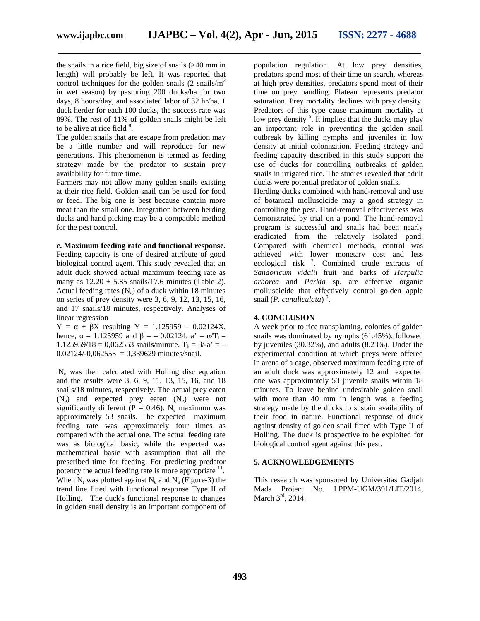the snails in a rice field, big size of snails (>40 mm in length) will probably be left. It was reported that control techniques for the golden snails  $(2 \text{ snails/m}^2)$ in wet season) by pasturing 200 ducks/ha for two days, 8 hours/day, and associated labor of 32 hr/ha, 1 duck herder for each 100 ducks, the success rate was 89%. The rest of 11% of golden snails might be left to be alive at rice field  $8$ .

The golden snails that are escape from predation may be a little number and will reproduce for new generations. This phenomenon is termed as feeding strategy made by the predator to sustain prey availability for future time.

Farmers may not allow many golden snails existing at their rice field. Golden snail can be used for food or feed. The big one is best because contain more meat than the small one. Integration between herding ducks and hand picking may be a compatible method for the pest control.

#### **c. Maximum feeding rate and functional response.**

Feeding capacity is one of desired attribute of good biological control agent. This study revealed that an adult duck showed actual maximum feeding rate as many as  $12.20 \pm 5.85$  snails/17.6 minutes (Table 2). Actual feeding rates  $(N_a)$  of a duck within 18 minutes on series of prey density were 3, 6, 9, 12, 13, 15, 16, and 17 snails/18 minutes, respectively. Analyses of linear regression

 $Y = + X$  resulting  $Y = 1.125959 - 0.02124X$ , hence, = 1.125959 and = – 0.02124. a' =  $/T_t$  = 1.125959/18 = 0,062553 snails/minute.  $T_h = /-a' = 0.02124/-0.062553 = 0.339629$  minutes/snail.

N<sup>e</sup> was then calculated with Holling disc equation and the results were 3, 6, 9, 11, 13, 15, 16, and 18 snails/18 minutes, respectively. The actual prey eaten  $(N_a)$  and expected prey eaten  $(N_e)$  were not significantly different ( $P = 0.46$ ). N<sub>e</sub> maximum was approximately 53 snails. The expected maximum feeding rate was approximately four times as compared with the actual one. The actual feeding rate was as biological basic, while the expected was mathematical basic with assumption that all the prescribed time for feeding. For predicting predator potency the actual feeding rate is more appropriate  $11$ . When  $N_t$  was plotted against  $N_e$  and  $N_a$  (Figure-3) the trend line fitted with functional response Type II of Holling. The duck's functional response to changes in golden snail density is an important component of

population regulation. At low prey densities, predators spend most of their time on search, whereas at high prey densities, predators spend most of their time on prey handling. Plateau represents predator saturation. Prey mortality declines with prey density. Predators of this type cause maximum mortality at low prey density<sup>5</sup>. It implies that the ducks may play an important role in preventing the golden snail outbreak by killing nymphs and juveniles in low density at initial colonization. Feeding strategy and feeding capacity described in this study support the use of ducks for controlling outbreaks of golden snails in irrigated rice. The studies revealed that adult ducks were potential predator of golden snails.

Herding ducks combined with hand-removal and use of botanical molluscicide may a good strategy in controlling the pest. Hand-removal effectiveness was demonstrated by trial on a pond. The hand-removal program is successful and snails had been nearly eradicated from the relatively isolated pond. Compared with chemical methods, control was achieved with lower monetary cost and less ecological risk  $2$ . Combined crude extracts of *Sandoricum vidalii* fruit and barks of *Harpulia arborea* and *Parkia* sp. are effective organic molluscicide that effectively control golden apple snail (*P. canaliculata*) 9 .

#### **4. CONCLUSION**

A week prior to rice transplanting, colonies of golden snails was dominated by nymphs (61.45%), followed by juveniles (30.32%), and adults (8.23%). Under the experimental condition at which preys were offered in arena of a cage, observed maximum feeding rate of an adult duck was approximately 12 and expected one was approximately 53 juvenile snails within 18 minutes. To leave behind undesirable golden snail with more than 40 mm in length was a feeding strategy made by the ducks to sustain availability of their food in nature. Functional response of duck against density of golden snail fitted with Type II of Holling. The duck is prospective to be exploited for biological control agent against this pest.

#### **5. ACKNOWLEDGEMENTS**

This research was sponsored by Universitas Gadjah Mada Project No. LPPM-UGM/391/LIT/2014, March  $3<sup>rd</sup>$ , 2014.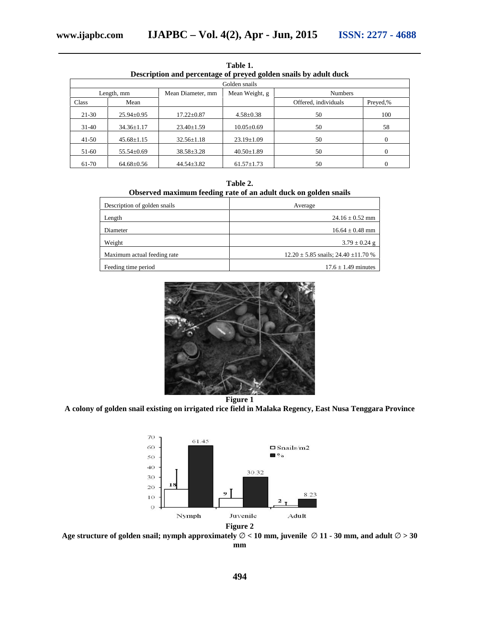| тане г.                                                          |                  |                                     |                  |                      |          |  |  |
|------------------------------------------------------------------|------------------|-------------------------------------|------------------|----------------------|----------|--|--|
| Description and percentage of preyed golden snails by adult duck |                  |                                     |                  |                      |          |  |  |
| Golden snails                                                    |                  |                                     |                  |                      |          |  |  |
| Length, mm                                                       |                  | Mean Weight, g<br>Mean Diameter, mm |                  | <b>Numbers</b>       |          |  |  |
| Class                                                            | Mean             |                                     |                  | Offered, individuals | Preved,% |  |  |
| $21 - 30$                                                        | $25.94 \pm 0.95$ | $17.22 \pm 0.87$                    | $4.58 \pm 0.38$  | 50                   | 100      |  |  |
| $31-40$                                                          | $34.36 \pm 1.17$ | $23.40 \pm 1.59$                    | $10.05 \pm 0.69$ | 50                   | 58       |  |  |
| $41-50$                                                          | $45.68 \pm 1.15$ | $32.56 \pm 1.18$                    | $23.19 \pm 1.09$ | 50                   | $\Omega$ |  |  |
| 51-60                                                            | $55.54 \pm 0.69$ | $38.58 \pm 3.28$                    | $40.50 \pm 1.89$ | 50                   | $\Omega$ |  |  |
| 61-70                                                            | $64.68 \pm 0.56$ | $44.54 \pm 3.82$                    | $61.57 \pm 1.73$ | 50                   | $\Omega$ |  |  |

**Table 1.**

| Table 2.                                                        |  |
|-----------------------------------------------------------------|--|
| Observed maximum feeding rate of an adult duck on golden snails |  |

| Description of golden snails | Average                                      |  |
|------------------------------|----------------------------------------------|--|
| Length                       | $24.16 \pm 0.52$ mm                          |  |
| Diameter                     | $16.64 \pm 0.48$ mm                          |  |
| Weight                       | $3.79 \pm 0.24$ g                            |  |
| Maximum actual feeding rate  | $12.20 \pm 5.85$ snails; $24.40 \pm 11.70$ % |  |
| Feeding time period          | $17.6 \pm 1.49$ minutes                      |  |



**Figure 1**

**A colony of golden snail existing on irrigated rice field in Malaka Regency, East Nusa Tenggara Province**



**Age structure of golden snail; nymph approximately < 10 mm, juvenile 11 - 30 mm, and adult > 30 mm**